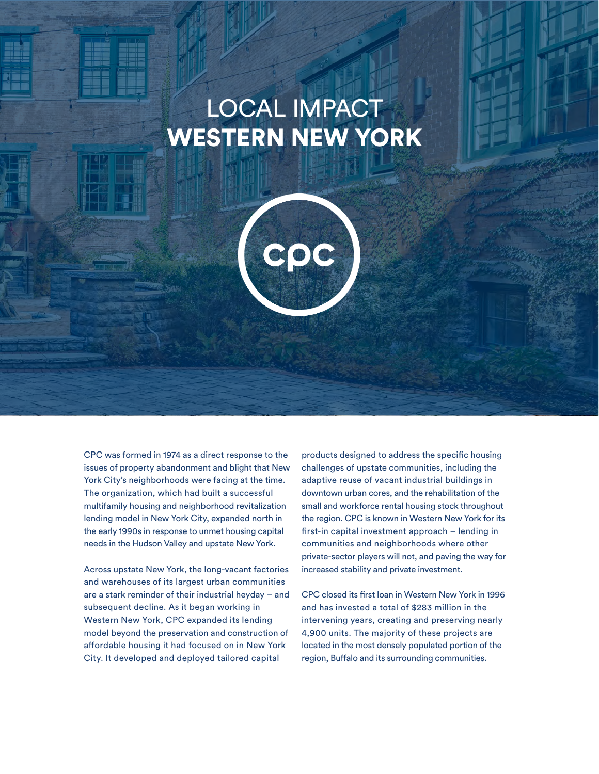# LOCAL IMPACT WESTERN NEW YORK



CPC was formed in 1974 as a direct response to the issues of property abandonment and blight that New York City's neighborhoods were facing at the time. The organization, which had built a successful multifamily housing and neighborhood revitalization lending model in New York City, expanded north in the early 1990s in response to unmet housing capital needs in the Hudson Valley and upstate New York.

Across upstate New York, the long-vacant factories and warehouses of its largest urban communities are a stark reminder of their industrial heyday – and subsequent decline. As it began working in Western New York, CPC expanded its lending model beyond the preservation and construction of affordable housing it had focused on in New York City. It developed and deployed tailored capital

products designed to address the specific housing challenges of upstate communities, including the adaptive reuse of vacant industrial buildings in downtown urban cores, and the rehabilitation of the small and workforce rental housing stock throughout the region. CPC is known in Western New York for its first-in capital investment approach – lending in communities and neighborhoods where other private-sector players will not, and paving the way for increased stability and private investment.

CPC closed its first loan in Western New York in 1996 and has invested a total of \$283 million in the intervening years, creating and preserving nearly 4,900 units. The majority of these projects are located in the most densely populated portion of the region, Buffalo and its surrounding communities.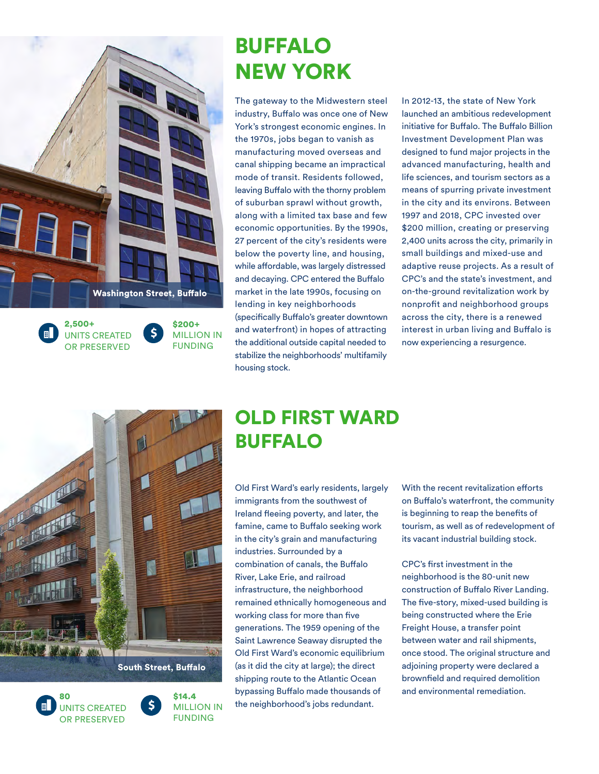

2,500+ \$ UNITS CREATED OR PRESERVED

\$200+ MILLION IN FUNDING

## BUFFALO NEW YORK

The gateway to the Midwestern steel industry, Buffalo was once one of New York's strongest economic engines. In the 1970s, jobs began to vanish as manufacturing moved overseas and canal shipping became an impractical mode of transit. Residents followed, leaving Buffalo with the thorny problem of suburban sprawl without growth, along with a limited tax base and few economic opportunities. By the 1990s, 27 percent of the city's residents were below the poverty line, and housing, while affordable, was largely distressed and decaying. CPC entered the Buffalo market in the late 1990s, focusing on lending in key neighborhoods (specifically Buffalo's greater downtown

and waterfront) in hopes of attracting the additional outside capital needed to stabilize the neighborhoods' multifamily housing stock.

In 2012-13, the state of New York launched an ambitious redevelopment initiative for Buffalo. The Buffalo Billion Investment Development Plan was designed to fund major projects in the advanced manufacturing, health and life sciences, and tourism sectors as a means of spurring private investment in the city and its environs. Between 1997 and 2018, CPC invested over \$200 million, creating or preserving 2,400 units across the city, primarily in small buildings and mixed-use and adaptive reuse projects. As a result of CPC's and the state's investment, and on-the-ground revitalization work by nonprofit and neighborhood groups across the city, there is a renewed interest in urban living and Buffalo is now experiencing a resurgence.



 $\mathsf{\hat{S}}$ 





### OLD FIRST WARD BUFFALO

Old First Ward's early residents, largely immigrants from the southwest of Ireland fleeing poverty, and later, the famine, came to Buffalo seeking work in the city's grain and manufacturing industries. Surrounded by a combination of canals, the Buffalo River, Lake Erie, and railroad infrastructure, the neighborhood remained ethnically homogeneous and working class for more than five generations. The 1959 opening of the Saint Lawrence Seaway disrupted the Old First Ward's economic equilibrium (as it did the city at large); the direct shipping route to the Atlantic Ocean bypassing Buffalo made thousands of the neighborhood's jobs redundant.

With the recent revitalization efforts on Buffalo's waterfront, the community is beginning to reap the benefits of tourism, as well as of redevelopment of its vacant industrial building stock.

CPC's first investment in the neighborhood is the 80-unit new construction of Buffalo River Landing. The five-story, mixed-used building is being constructed where the Erie Freight House, a transfer point between water and rail shipments, once stood. The original structure and adjoining property were declared a brownfield and required demolition and environmental remediation.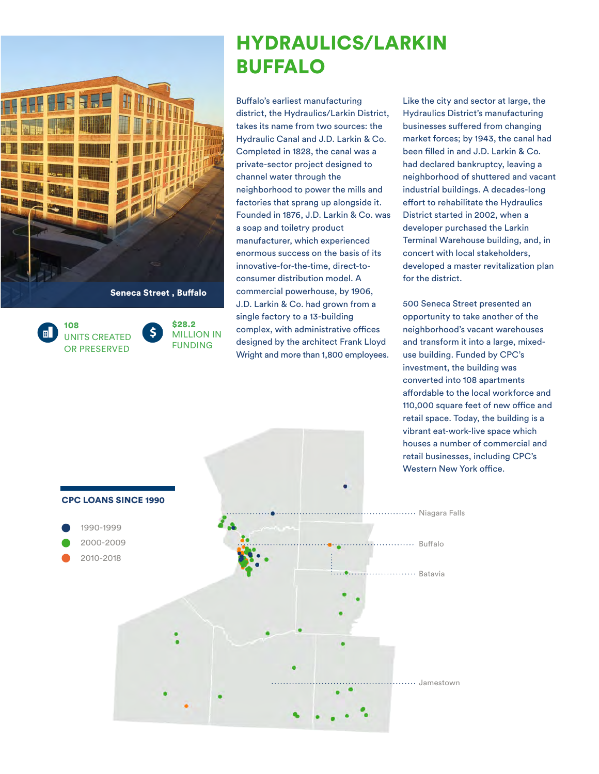

108 UNITS CREATED OR PRESERVED

\$28.2  $\mathsf{\dot{S}}$ MILLION IN FUNDING

### HYDRAULICS/LARKIN BUFFALO

Buffalo's earliest manufacturing district, the Hydraulics/Larkin District, takes its name from two sources: the Hydraulic Canal and J.D. Larkin & Co. Completed in 1828, the canal was a private-sector project designed to channel water through the neighborhood to power the mills and factories that sprang up alongside it. Founded in 1876, J.D. Larkin & Co. was a soap and toiletry product manufacturer, which experienced enormous success on the basis of its innovative-for-the-time, direct-toconsumer distribution model. A commercial powerhouse, by 1906, J.D. Larkin & Co. had grown from a single factory to a 13-building complex, with administrative offices designed by the architect Frank Lloyd Wright and more than 1,800 employees.

Like the city and sector at large, the Hydraulics District's manufacturing businesses suffered from changing market forces; by 1943, the canal had been filled in and J.D. Larkin & Co. had declared bankruptcy, leaving a neighborhood of shuttered and vacant industrial buildings. A decades-long effort to rehabilitate the Hydraulics District started in 2002, when a developer purchased the Larkin Terminal Warehouse building, and, in concert with local stakeholders, developed a master revitalization plan for the district.

500 Seneca Street presented an opportunity to take another of the neighborhood's vacant warehouses and transform it into a large, mixeduse building. Funded by CPC's investment, the building was converted into 108 apartments affordable to the local workforce and 110,000 square feet of new office and retail space. Today, the building is a vibrant eat-work-live space which houses a number of commercial and retail businesses, including CPC's Western New York office.